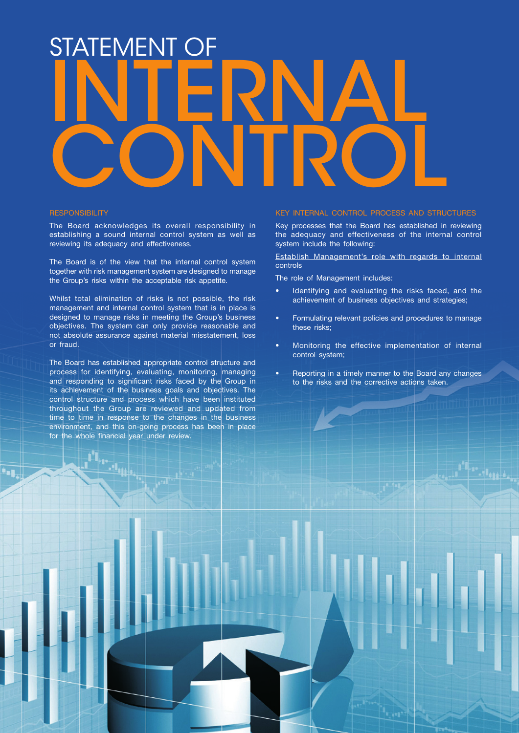# STATEMENT OF Internal CONTROL

#### **RESPONSIBILITY**

The Board acknowledges its overall responsibility in establishing a sound internal control system as well as reviewing its adequacy and effectiveness.

The Board is of the view that the internal control system together with risk management system are designed to manage the Group's risks within the acceptable risk appetite.

Whilst total elimination of risks is not possible, the risk management and internal control system that is in place is designed to manage risks in meeting the Group's business objectives. The system can only provide reasonable and not absolute assurance against material misstatement, loss or fraud.

The Board has established appropriate control structure and process for identifying, evaluating, monitoring, managing and responding to significant risks faced by the Group in its achievement of the business goals and objectives. The control structure and process which have been instituted throughout the Group are reviewed and updated from time to time in response to the changes in the business environment, and this on-going process has been in place for the whole financial year under review.

**Section** 

### Key Internal Control Process and Structures

Key processes that the Board has established in reviewing the adequacy and effectiveness of the internal control system include the following:

Establish Management's role with regards to internal controls

The role of Management includes:

- Identifying and evaluating the risks faced, and the achievement of business objectives and strategies;
- Formulating relevant policies and procedures to manage these risks;
- Monitoring the effective implementation of internal control system;
- Reporting in a timely manner to the Board any changes to the risks and the corrective actions taken.

Bank pembangunan malaysia berhad 35 Annual Report 2014